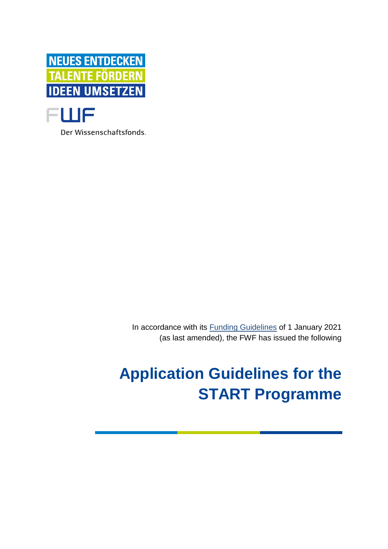

Der Wissenschaftsfonds.

In accordance with its [Funding Guidelines](https://www.fwf.ac.at/en/research-funding/decision-making-procedure-evaluation/funding-guidelines/) of 1 January 2021 (as last amended), the FWF has issued the following

# **Application Guidelines for the START Programme**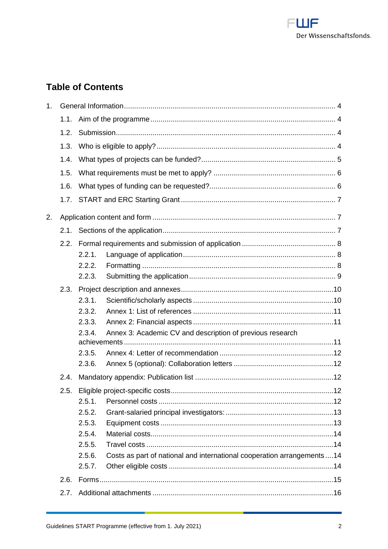

# **Table of Contents**

| 1 <sub>1</sub> |      |                                                                                  |
|----------------|------|----------------------------------------------------------------------------------|
|                | 1.1. |                                                                                  |
|                | 1.2. |                                                                                  |
|                | 1.3. |                                                                                  |
|                | 1.4. |                                                                                  |
|                | 1.5. |                                                                                  |
|                | 1.6. |                                                                                  |
|                | 1.7. |                                                                                  |
| 2.             |      |                                                                                  |
|                | 2.1. |                                                                                  |
|                | 2.2. |                                                                                  |
|                |      | 2.2.1.                                                                           |
|                |      | 2.2.2.                                                                           |
|                |      | 2.2.3.                                                                           |
|                | 2.3. |                                                                                  |
|                |      | 2.3.1.                                                                           |
|                |      | 2.3.2.                                                                           |
|                |      | 2.3.3.                                                                           |
|                |      | 2.3.4.<br>Annex 3: Academic CV and description of previous research              |
|                |      |                                                                                  |
|                |      | 2.3.5.                                                                           |
|                |      | 2.3.6.                                                                           |
|                | 2.4. |                                                                                  |
|                | 2.5. |                                                                                  |
|                |      | 2.5.1.                                                                           |
|                |      | 2.5.2.                                                                           |
|                |      | 2.5.3.                                                                           |
|                |      | 2.5.4.                                                                           |
|                |      | 2.5.5.                                                                           |
|                |      | Costs as part of national and international cooperation arrangements14<br>2.5.6. |
|                |      | 2.5.7.                                                                           |
|                | 2.6. |                                                                                  |
|                | 2.7. |                                                                                  |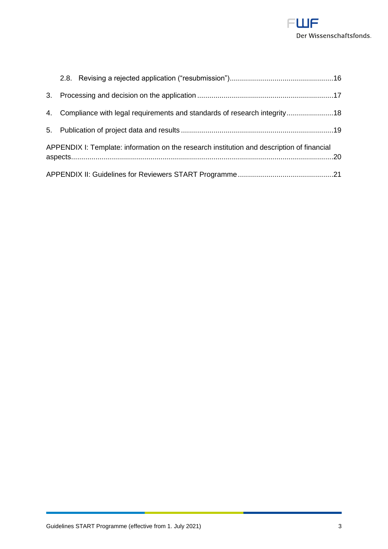

|                                                                                            | 4. Compliance with legal requirements and standards of research integrity18 |  |  |
|--------------------------------------------------------------------------------------------|-----------------------------------------------------------------------------|--|--|
|                                                                                            |                                                                             |  |  |
| APPENDIX I: Template: information on the research institution and description of financial |                                                                             |  |  |
|                                                                                            |                                                                             |  |  |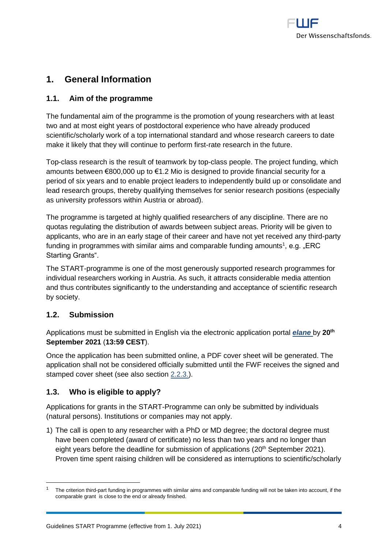

# <span id="page-3-0"></span>**1. General Information**

#### <span id="page-3-1"></span>**1.1. Aim of the programme**

The fundamental aim of the programme is the promotion of young researchers with at least two and at most eight years of postdoctoral experience who have already produced scientific/scholarly work of a top international standard and whose research careers to date make it likely that they will continue to perform first-rate research in the future.

Top-class research is the result of teamwork by top-class people. The project funding, which amounts between €800,000 up to €1.2 Mio is designed to provide financial security for a period of six years and to enable project leaders to independently build up or consolidate and lead research groups, thereby qualifying themselves for senior research positions (especially as university professors within Austria or abroad).

The programme is targeted at highly qualified researchers of any discipline. There are no quotas regulating the distribution of awards between subject areas. Priority will be given to applicants, who are in an early stage of their career and have not yet received any third-party funding in programmes with similar aims and comparable funding amounts<sup>1</sup>, e.g. "ERC Starting Grants".

The START-programme is one of the most generously supported research programmes for individual researchers working in Austria. As such, it attracts considerable media attention and thus contributes significantly to the understanding and acceptance of scientific research by society.

#### <span id="page-3-2"></span>**1.2. Submission**

 $\overline{a}$ 

Applications must be submitted in English via the electronic application portal *[elane](https://elane.fwf.ac.at/)* by **20th September 2021** (**13:59 CEST**).

Once the application has been submitted online, a PDF cover sheet will be generated. The application shall not be considered officially submitted until the FWF receives the signed and stamped cover sheet (see also section [2.2.3.\)](#page-8-0).

### <span id="page-3-3"></span>**1.3. Who is eligible to apply?**

Applications for grants in the START-Programme can only be submitted by individuals (natural persons). Institutions or companies may not apply.

1) The call is open to any researcher with a PhD or MD degree; the doctoral degree must have been completed (award of certificate) no less than two years and no longer than eight years before the deadline for submission of applications (20<sup>th</sup> September 2021). Proven time spent raising children will be considered as interruptions to scientific/scholarly

<sup>1</sup> The criterion third-part funding in programmes with similar aims and comparable funding will not be taken into account, if the comparable grant is close to the end or already finished.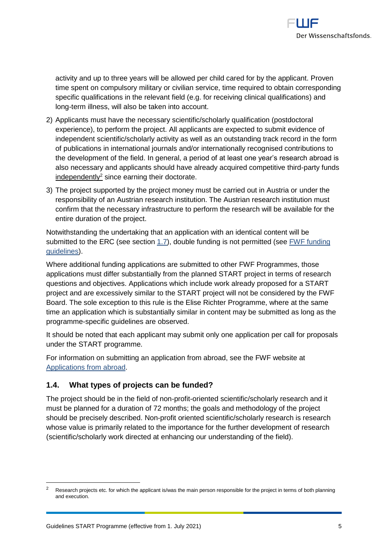

activity and up to three years will be allowed per child cared for by the applicant. Proven time spent on compulsory military or civilian service, time required to obtain corresponding specific qualifications in the relevant field (e.g. for receiving clinical qualifications) and long-term illness, will also be taken into account.

- 2) Applicants must have the necessary scientific/scholarly qualification (postdoctoral experience), to perform the project. All applicants are expected to submit evidence of independent scientific/scholarly activity as well as an outstanding track record in the form of publications in international journals and/or internationally recognised contributions to the development of the field. In general, a period of at least one year's research abroad is also necessary and applicants should have already acquired competitive third-party funds  $independent  $V^2$  since earning their doctorate.$
- 3) The project supported by the project money must be carried out in Austria or under the responsibility of an Austrian research institution. The Austrian research institution must confirm that the necessary infrastructure to perform the research will be available for the entire duration of the project.

Notwithstanding the undertaking that an application with an identical content will be submitted to the ERC (see section [1.7\)](#page-6-0), double funding is not permitted (see [FWF funding](https://www.fwf.ac.at/en/research-funding/decision-making-procedure-evaluation/funding-guidelines/)  [guidelines\)](https://www.fwf.ac.at/en/research-funding/decision-making-procedure-evaluation/funding-guidelines/).

Where additional funding applications are submitted to other FWF Programmes, those applications must differ substantially from the planned START project in terms of research questions and objectives. Applications which include work already proposed for a START project and are excessively similar to the START project will not be considered by the FWF Board. The sole exception to this rule is the Elise Richter Programme, where at the same time an application which is substantially similar in content may be submitted as long as the programme-specific guidelines are observed.

It should be noted that each applicant may submit only one application per call for proposals under the START programme.

For information on submitting an application from abroad, see the FWF website at [Applications from abroad.](https://www.fwf.ac.at/en/research-funding/applications-from-abroad/)

#### <span id="page-4-0"></span>**1.4. What types of projects can be funded?**

The project should be in the field of non-profit-oriented scientific/scholarly research and it must be planned for a duration of 72 months; the goals and methodology of the project should be precisely described. Non-profit oriented scientific/scholarly research is research whose value is primarily related to the importance for the further development of research (scientific/scholarly work directed at enhancing our understanding of the field).

 $\overline{a}$ 

Research projects etc. for which the applicant is/was the main person responsible for the project in terms of both planning and execution.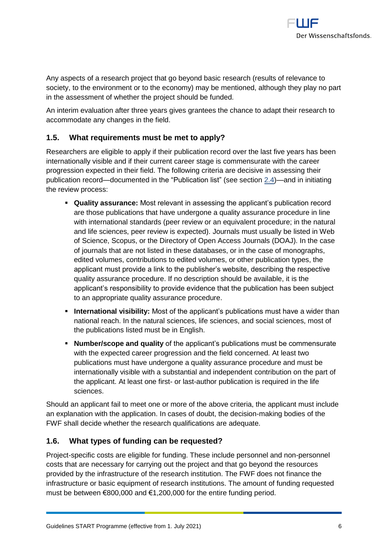

Any aspects of a research project that go beyond basic research (results of relevance to society, to the environment or to the economy) may be mentioned, although they play no part in the assessment of whether the project should be funded.

An interim evaluation after three years gives grantees the chance to adapt their research to accommodate any changes in the field.

#### <span id="page-5-0"></span>**1.5. What requirements must be met to apply?**

Researchers are eligible to apply if their publication record over the last five years has been internationally visible and if their current career stage is commensurate with the career progression expected in their field. The following criteria are decisive in assessing their publication record—documented in the "Publication list" (see section [2.4\)](#page-11-2)—and in initiating the review process:

- **Quality assurance:** Most relevant in assessing the applicant's publication record are those publications that have undergone a quality assurance procedure in line with international standards (peer review or an equivalent procedure; in the natural and life sciences, peer review is expected). Journals must usually be listed in Web of Science, Scopus, or the Directory of Open Access Journals (DOAJ). In the case of journals that are not listed in these databases, or in the case of monographs, edited volumes, contributions to edited volumes, or other publication types, the applicant must provide a link to the publisher's website, describing the respective quality assurance procedure. If no description should be available, it is the applicant's responsibility to provide evidence that the publication has been subject to an appropriate quality assurance procedure.
- **EXTERNIMIZE:** International visibility: Most of the applicant's publications must have a wider than national reach. In the natural sciences, life sciences, and social sciences, most of the publications listed must be in English.
- **Number/scope and quality** of the applicant's publications must be commensurate with the expected career progression and the field concerned. At least two publications must have undergone a quality assurance procedure and must be internationally visible with a substantial and independent contribution on the part of the applicant. At least one first- or last-author publication is required in the life sciences.

Should an applicant fail to meet one or more of the above criteria, the applicant must include an explanation with the application. In cases of doubt, the decision-making bodies of the FWF shall decide whether the research qualifications are adequate.

#### <span id="page-5-1"></span>**1.6. What types of funding can be requested?**

Project-specific costs are eligible for funding. These include personnel and non-personnel costs that are necessary for carrying out the project and that go beyond the resources provided by the infrastructure of the research institution. The FWF does not finance the infrastructure or basic equipment of research institutions. The amount of funding requested must be between €800,000 and €1,200,000 for the entire funding period.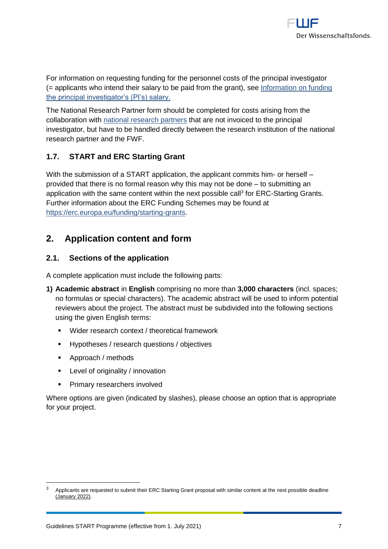

For information on requesting funding for the personnel costs of the principal investigator (= applicants who intend their salary to be paid from the grant), see [Information on funding](https://www.fwf.ac.at/fileadmin/files/Dokumente/Antragstellung/information_grant-salaried-PI.pdf)  [the principal investigator's \(PI's\) salary.](https://www.fwf.ac.at/fileadmin/files/Dokumente/Antragstellung/information_grant-salaried-PI.pdf)

The National Research Partner form should be completed for costs arising from the collaboration with [national research partners](https://www.fwf.ac.at/fileadmin/files/Dokumente/Antragstellung/glossary_application-guidelines.pdf) that are not invoiced to the principal investigator, but have to be handled directly between the research institution of the national research partner and the FWF.

### <span id="page-6-0"></span>**1.7. START and ERC Starting Grant**

With the submission of a START application, the applicant commits him- or herself – provided that there is no formal reason why this may not be done – to submitting an application with the same content within the next possible call<sup>3</sup> for ERC-Starting Grants. Further information about the ERC Funding Schemes may be found at [https://erc.europa.eu/funding/starting-grants.](https://erc.europa.eu/funding/starting-grants)

# <span id="page-6-1"></span>**2. Application content and form**

#### <span id="page-6-2"></span>**2.1. Sections of the application**

A complete application must include the following parts:

- **1) Academic abstract** in **English** comprising no more than **3,000 characters** (incl. spaces; no formulas or special characters). The academic abstract will be used to inform potential reviewers about the project. The abstract must be subdivided into the following sections using the given English terms:
	- Wider research context / theoretical framework
	- Hypotheses / research questions / objectives
	- Approach / methods

 $\overline{a}$ 

- Level of originality / innovation
- **•** Primary researchers involved

Where options are given (indicated by slashes), please choose an option that is appropriate for your project.

<sup>3</sup> Applicants are requested to submit their ERC Starting Grant proposal with similar content at the next possible deadline (January 2022).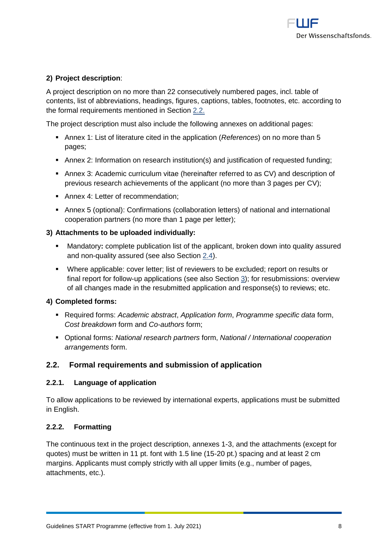

#### **2) Project description**:

A project description on no more than 22 consecutively numbered pages, incl. table of contents, list of abbreviations, headings, figures, captions, tables, footnotes, etc. according to the formal requirements mentioned in Section [2.2.](#page-7-0)

The project description must also include the following annexes on additional pages:

- Annex 1: List of literature cited in the application (*References*) on no more than 5 pages;
- **EXT** Annex 2: Information on research institution(s) and justification of requested funding;
- **Annex 3: Academic curriculum vitae (hereinafter referred to as CV) and description of** previous research achievements of the applicant (no more than 3 pages per CV);
- Annex 4: Letter of recommendation;
- **EX Annex 5 (optional): Confirmations (collaboration letters) of national and international** cooperation partners (no more than 1 page per letter);

#### **3) Attachments to be uploaded individually:**

- Mandatory: complete publication list of the applicant, broken down into quality assured and non-quality assured (see also Section [2.4\)](#page-11-2).
- Where applicable: cover letter; list of reviewers to be excluded; report on results or final report for follow-up applications (see also Section [3\)](#page-16-0); for resubmissions: overview of all changes made in the resubmitted application and response(s) to reviews; etc.

#### **4) Completed forms:**

- Required forms: *Academic abstract*, *Application form*, *Programme specific data* form, *Cost breakdown* form and *Co-authors* form;
- Optional forms: *National research partners* form, *National / International cooperation arrangements* form.

#### <span id="page-7-0"></span>**2.2. Formal requirements and submission of application**

#### <span id="page-7-1"></span>**2.2.1. Language of application**

To allow applications to be reviewed by international experts, applications must be submitted in English.

#### <span id="page-7-2"></span>**2.2.2. Formatting**

The continuous text in the project description, annexes 1-3, and the attachments (except for quotes) must be written in 11 pt. font with 1.5 line (15-20 pt.) spacing and at least 2 cm margins. Applicants must comply strictly with all upper limits (e.g., number of pages, attachments, etc.).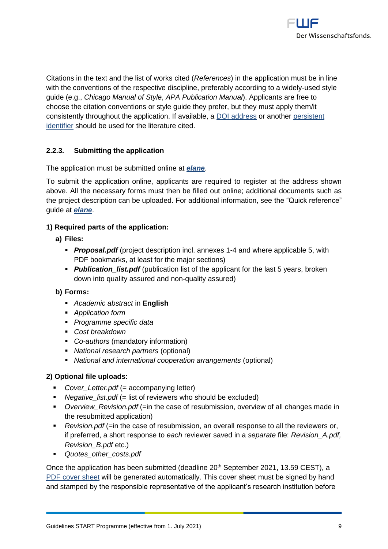

Citations in the text and the list of works cited (*References*) in the application must be in line with the conventions of the respective discipline, preferably according to a widely-used style guide (e.g., *Chicago Manual of Style*, *APA Publication Manual*). Applicants are free to choose the citation conventions or style guide they prefer, but they must apply them/it consistently throughout the application. If available, a [DOI address](http://www.doi.org/) or another persistent [identifier](https://en.wikipedia.org/wiki/Persistent_identifier) should be used for the literature cited.

#### <span id="page-8-0"></span>**2.2.3. Submitting the application**

The application must be submitted online at *[elane](https://elane.fwf.ac.at/page/panel/loginpanel?7)*.

To submit the application online, applicants are required to register at the address shown above. All the necessary forms must then be filled out online; additional documents such as the project description can be uploaded. For additional information, see the "Quick reference" guide at *[elane](https://elane.fwf.ac.at/page/panel/loginpanel?7)*.

#### **1) Required parts of the application:**

- **a) Files:**
	- **Proposal.pdf** (project description incl. annexes 1-4 and where applicable 5, with PDF bookmarks, at least for the major sections)
	- **Publication\_list.pdf** (publication list of the applicant for the last 5 years, broken down into quality assured and non-quality assured)

#### **b) Forms:**

- *Academic abstract* in **English**
- *Application form*
- *Programme specific data*
- *Cost breakdown*
- *Co-authors* (mandatory information)
- *National research partners* (optional)
- *National and international cooperation arrangements* (optional)

#### **2) Optional file uploads:**

- *Cover* Letter.pdf (= accompanying letter)
- *Negative list.pdf* (= list of reviewers who should be excluded)
- *Overview\_Revision.pdf* (=in the case of resubmission, overview of all changes made in the resubmitted application)
- *Revision.pdf* (=in the case of resubmission, an overall response to all the reviewers or, if preferred, a short response to *each* reviewer saved in a *separate* file: *Revision\_A.pdf, Revision\_B.pdf* etc.)
- *Quotes\_other\_costs.pdf*

Once the application has been submitted (deadline 20<sup>th</sup> September 2021, 13.59 CEST), a [PDF cover sheet](https://www.fwf.ac.at/fileadmin/files/Dokumente/Antragstellung/glossary_application-guidelines.pdf) will be generated automatically. This cover sheet must be signed by hand and stamped by the responsible representative of the applicant's research institution before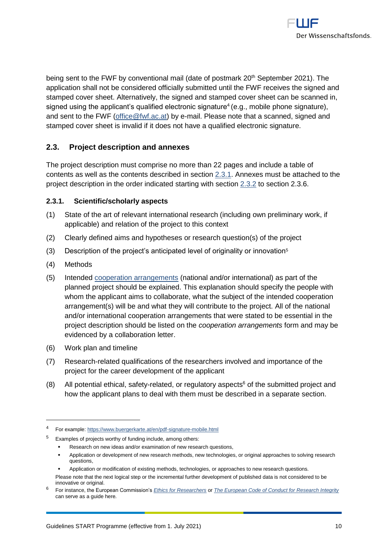

being sent to the FWF by conventional mail (date of postmark 20<sup>th</sup> September 2021). The application shall not be considered officially submitted until the FWF receives the signed and stamped cover sheet. Alternatively, the signed and stamped cover sheet can be scanned in, signed using the applicant's qualified electronic signature<sup>4</sup> (e.g., mobile phone signature), and sent to the FWF [\(office@fwf.ac.at\)](mailto:office@fwf.ac.at) by e-mail. Please note that a scanned, signed and stamped cover sheet is invalid if it does not have a qualified electronic signature.

#### <span id="page-9-0"></span>**2.3. Project description and annexes**

The project description must comprise no more than 22 pages and include a table of contents as well as the contents described in section [2.3.1.](#page-9-1) Annexes must be attached to the project description in the order indicated starting with section [2.3.2](#page-10-0) to section 2.3.6.

#### <span id="page-9-1"></span>**2.3.1. Scientific/scholarly aspects**

- (1) State of the art of relevant international research (including own preliminary work, if applicable) and relation of the project to this context
- (2) Clearly defined aims and hypotheses or research question(s) of the project
- (3) Description of the project's anticipated level of originality or innovation<sup>5</sup>
- (4) Methods

- (5) Intended [cooperation arrangements](https://www.fwf.ac.at/fileadmin/files/Dokumente/Antragstellung/glossary_application-guidelines.pdf) (national and/or international) as part of the planned project should be explained. This explanation should specify the people with whom the applicant aims to collaborate, what the subject of the intended cooperation arrangement(s) will be and what they will contribute to the project. All of the national and/or international cooperation arrangements that were stated to be essential in the project description should be listed on the *cooperation arrangements* form and may be evidenced by a collaboration letter.
- (6) Work plan and timeline
- (7) Research-related qualifications of the researchers involved and importance of the project for the career development of the applicant
- (8) All potential ethical, safety-related, or regulatory aspects<sup>6</sup> of the submitted project and how the applicant plans to deal with them must be described in a separate section.

<sup>4</sup> For example:<https://www.buergerkarte.at/en/pdf-signature-mobile.html>

<sup>5</sup> Examples of projects worthy of funding include, among others:

Research on new ideas and/or examination of new research questions,

<sup>▪</sup> Application or development of new research methods, new technologies, or original approaches to solving research questions,

Application or modification of existing methods, technologies, or approaches to new research questions.

Please note that the next logical step or the incremental further development of published data is not considered to be innovative or original.

<sup>6</sup> For instance, the European Commission's *[Ethics for Researchers](http://ec.europa.eu/research/participants/data/ref/fp7/89888/ethics-for-researchers_en.pdf)* or *[The European Code of Conduct for Research Integrity](https://ec.europa.eu/research/participants/data/ref/h2020/other/hi/h2020-ethics_code-of-conduct_en.pdf)* can serve as a guide here*.*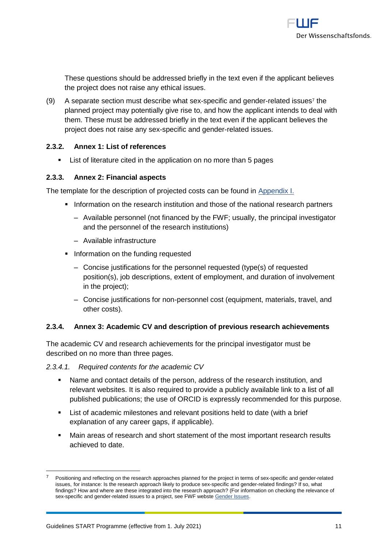

These questions should be addressed briefly in the text even if the applicant believes the project does not raise any ethical issues.

 $(9)$  A separate section must describe what sex-specific and gender-related issues<sup>7</sup> the planned project may potentially give rise to, and how the applicant intends to deal with them. These must be addressed briefly in the text even if the applicant believes the project does not raise any sex-specific and gender-related issues.

#### <span id="page-10-0"></span>**2.3.2. Annex 1: List of references**

**EXECT** List of literature cited in the application on no more than 5 pages

#### <span id="page-10-1"></span>**2.3.3. Annex 2: Financial aspects**

The template for the description of projected costs can be found in [Appendix I.](#page-19-0)

- **.** Information on the research institution and those of the national research partners
	- ‒ Available personnel (not financed by the FWF; usually, the principal investigator and the personnel of the research institutions)
	- ‒ Available infrastructure
- **•** Information on the funding requested
	- ‒ Concise justifications for the personnel requested (type(s) of requested position(s), job descriptions, extent of employment, and duration of involvement in the project);
	- ‒ Concise justifications for non-personnel cost (equipment, materials, travel, and other costs).

#### <span id="page-10-2"></span>**2.3.4. Annex 3: Academic CV and description of previous research achievements**

The academic CV and research achievements for the principal investigator must be described on no more than three pages.

*2.3.4.1. Required contents for the academic CV*

- Name and contact details of the person, address of the research institution, and relevant websites. It is also required to provide a publicly available link to a list of all published publications; the use of ORCID is expressly recommended for this purpose.
- List of academic milestones and relevant positions held to date (with a brief explanation of any career gaps, if applicable).
- Main areas of research and short statement of the most important research results achieved to date.

 $\overline{a}$ 

<sup>7</sup> Positioning and reflecting on the research approaches planned for the project in terms of sex-specific and gender-related issues, for instance: Is the research approach likely to produce sex-specific and gender-related findings? If so, what findings? How and where are these integrated into the research approach? (For information on checking the relevance of sex-specific and gender-related issues to a project, see FWF webste [Gender Issues.](https://www.fwf.ac.at/en/about-the-fwf/gender-issues)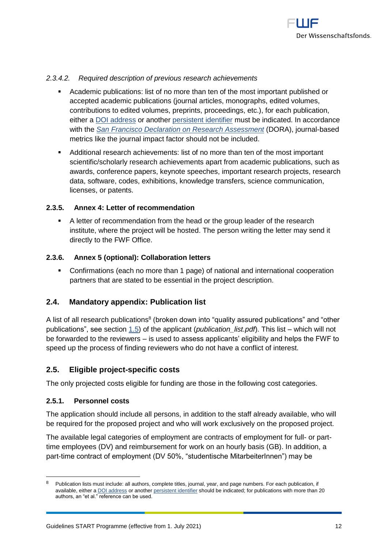

#### *2.3.4.2. Required description of previous research achievements*

- Academic publications: list of no more than ten of the most important published or accepted academic publications (journal articles, monographs, edited volumes, contributions to edited volumes, preprints, proceedings, etc.), for each publication, either a [DOI address](http://www.doi.org/) or another [persistent identifier](http://en.wikipedia.org/wiki/Persistent_identifier) must be indicated. In accordance with the *[San Francisco Declaration on Research Assessment](https://sfdora.org/)* (DORA), journal-based metrics like the journal impact factor should not be included.
- Additional research achievements: list of no more than ten of the most important scientific/scholarly research achievements apart from academic publications, such as awards, conference papers, keynote speeches, important research projects, research data, software, codes, exhibitions, knowledge transfers, science communication, licenses, or patents.

#### <span id="page-11-0"></span>**2.3.5. Annex 4: Letter of recommendation**

▪ A letter of recommendation from the head or the group leader of the research institute, where the project will be hosted. The person writing the letter may send it directly to the FWF Office.

#### <span id="page-11-1"></span>**2.3.6. Annex 5 (optional): Collaboration letters**

▪ Confirmations (each no more than 1 page) of national and international cooperation partners that are stated to be essential in the project description.

#### <span id="page-11-2"></span>**2.4. Mandatory appendix: Publication list**

A list of all research publications<sup>8</sup> (broken down into "quality assured publications" and "other publications", see section [1.5\)](#page-5-0) of the applicant (*publication\_list.pdf*). This list – which will not be forwarded to the reviewers – is used to assess applicants' eligibility and helps the FWF to speed up the process of finding reviewers who do not have a conflict of interest.

#### <span id="page-11-3"></span>**2.5. Eligible project-specific costs**

The only projected costs eligible for funding are those in the following cost categories.

#### <span id="page-11-4"></span>**2.5.1. Personnel costs**

The application should include all persons, in addition to the staff already available, who will be required for the proposed project and who will work exclusively on the proposed project.

The available legal categories of employment are contracts of employment for full- or parttime employees (DV) and reimbursement for work on an hourly basis (GB). In addition, a part-time contract of employment (DV 50%, "studentische MitarbeiterInnen") may be

<sup>&</sup>lt;sup>8</sup> Publication lists must include: all authors, complete titles, journal, year, and page numbers. For each publication, if available, either a [DOI address](http://www.doi.org/) or another [persistent identifier](http://en.wikipedia.org/wiki/Persistent_identifier) should be indicated; for publications with more than 20 authors, an "et al." reference can be used.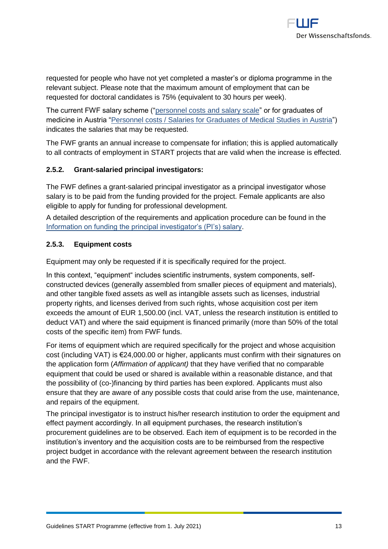requested for people who have not yet completed a master's or diploma programme in the relevant subject. Please note that the maximum amount of employment that can be requested for doctoral candidates is 75% (equivalent to 30 hours per week).

The current FWF salary scheme (["personnel costs and salary scale"](http://www.fwf.ac.at/en/research-funding/personnel-costs/) or for graduates of medicine in Austria ["Personnel costs / Salaries for Graduates of Medical Studies in Austria"](https://www.fwf.ac.at/fileadmin/files/Dokumente/Personalkostensaetze/personnel-costs-2021-medicine.pdf)) indicates the salaries that may be requested.

The FWF grants an annual increase to compensate for inflation; this is applied automatically to all contracts of employment in START projects that are valid when the increase is effected.

#### <span id="page-12-0"></span>**2.5.2. Grant-salaried principal investigators:**

The FWF defines a grant-salaried principal investigator as a principal investigator whose salary is to be paid from the funding provided for the project. Female applicants are also eligible to apply for funding for professional development.

A detailed description of the requirements and application procedure can be found in the [Information on funding the principal investigator's \(PI's\) salary.](https://www.fwf.ac.at/fileadmin/files/Dokumente/Antragstellung/information_grant-salaried-PI.pdf)

#### <span id="page-12-1"></span>**2.5.3. Equipment costs**

Equipment may only be requested if it is specifically required for the project.

In this context, "equipment" includes scientific instruments, system components, selfconstructed devices (generally assembled from smaller pieces of equipment and materials), and other tangible fixed assets as well as intangible assets such as licenses, industrial property rights, and licenses derived from such rights, whose acquisition cost per item exceeds the amount of EUR 1,500.00 (incl. VAT, unless the research institution is entitled to deduct VAT) and where the said equipment is financed primarily (more than 50% of the total costs of the specific item) from FWF funds.

For items of equipment which are required specifically for the project and whose acquisition cost (including VAT) is €24,000.00 or higher, applicants must confirm with their signatures on the application form (*Affirmation of applicant)* that they have verified that no comparable equipment that could be used or shared is available within a reasonable distance, and that the possibility of (co-)financing by third parties has been explored. Applicants must also ensure that they are aware of any possible costs that could arise from the use, maintenance, and repairs of the equipment.

The principal investigator is to instruct his/her research institution to order the equipment and effect payment accordingly. In all equipment purchases, the research institution's procurement guidelines are to be observed. Each item of equipment is to be recorded in the institution's inventory and the acquisition costs are to be reimbursed from the respective project budget in accordance with the relevant agreement between the research institution and the FWF.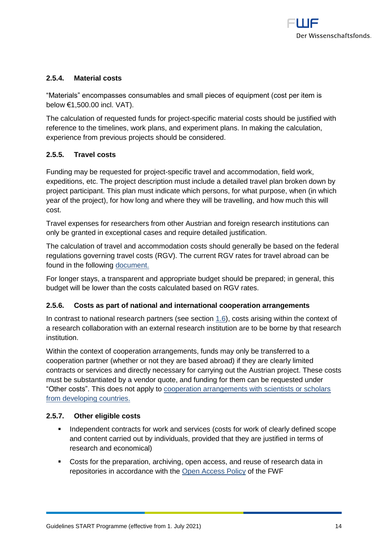#### <span id="page-13-0"></span>**2.5.4. Material costs**

"Materials" encompasses consumables and small pieces of equipment (cost per item is below €1,500.00 incl. VAT).

The calculation of requested funds for project-specific material costs should be justified with reference to the timelines, work plans, and experiment plans. In making the calculation, experience from previous projects should be considered.

#### <span id="page-13-1"></span>**2.5.5. Travel costs**

Funding may be requested for project-specific travel and accommodation, field work, expeditions, etc. The project description must include a detailed travel plan broken down by project participant. This plan must indicate which persons, for what purpose, when (in which year of the project), for how long and where they will be travelling, and how much this will cost.

Travel expenses for researchers from other Austrian and foreign research institutions can only be granted in exceptional cases and require detailed justification.

The calculation of travel and accommodation costs should generally be based on the federal regulations governing travel costs (RGV). The current RGV rates for travel abroad can be found in the following [document.](http://www.fwf.ac.at/fileadmin/files/Dokumente/Downloads/bgbl.pdf)

For longer stays, a transparent and appropriate budget should be prepared; in general, this budget will be lower than the costs calculated based on RGV rates.

#### <span id="page-13-2"></span>**2.5.6. Costs as part of national and international cooperation arrangements**

In contrast to national research partners (see section [1.6\)](#page-5-1), costs arising within the context of a research collaboration with an external research institution are to be borne by that research institution.

Within the context of cooperation arrangements, funds may only be transferred to a cooperation partner (whether or not they are based abroad) if they are clearly limited contracts or services and directly necessary for carrying out the Austrian project. These costs must be substantiated by a vendor quote, and funding for them can be requested under "Other costs". This does not apply to [cooperation arrangements with scientists or scholars](https://www.fwf.ac.at/en/research-funding/fwf-programmes/international-programmes/developing-countries-projects/)  [from developing countries.](https://www.fwf.ac.at/en/research-funding/fwf-programmes/international-programmes/developing-countries-projects/)

#### <span id="page-13-3"></span>**2.5.7. Other eligible costs**

- **•** Independent contracts for work and services (costs for work of clearly defined scope and content carried out by individuals, provided that they are justified in terms of research and economical)
- Costs for the preparation, archiving, open access, and reuse of research data in repositories in accordance with the [Open Access Policy](https://www.fwf.ac.at/en/research-funding/open-access-policy/) of the FWF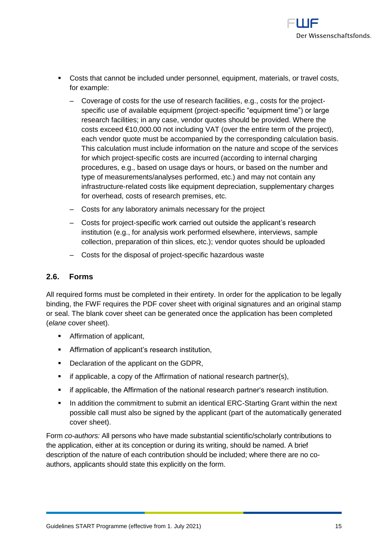

- Costs that cannot be included under personnel, equipment, materials, or travel costs, for example:
	- ‒ Coverage of costs for the use of research facilities, e.g., costs for the projectspecific use of available equipment (project-specific "equipment time") or large research facilities; in any case, vendor quotes should be provided. Where the costs exceed  $\epsilon$ 10,000.00 not including VAT (over the entire term of the project), each vendor quote must be accompanied by the corresponding calculation basis. This calculation must include information on the nature and scope of the services for which project-specific costs are incurred (according to internal charging procedures, e.g., based on usage days or hours, or based on the number and type of measurements/analyses performed, etc.) and may not contain any infrastructure-related costs like equipment depreciation, supplementary charges for overhead, costs of research premises, etc.
	- ‒ Costs for any laboratory animals necessary for the project
	- ‒ Costs for project-specific work carried out outside the applicant's research institution (e.g., for analysis work performed elsewhere, interviews, sample collection, preparation of thin slices, etc.); vendor quotes should be uploaded
	- ‒ Costs for the disposal of project-specific hazardous waste

#### <span id="page-14-0"></span>**2.6. Forms**

All required forms must be completed in their entirety. In order for the application to be legally binding, the FWF requires the PDF cover sheet with original signatures and an original stamp or seal. The blank cover sheet can be generated once the application has been completed (*elane* cover sheet).

- Affirmation of applicant,
- **EXEDENT Affirmation of applicant's research institution,**
- Declaration of the applicant on the GDPR,
- **•** if applicable, a copy of the Affirmation of national research partner(s),
- if applicable, the Affirmation of the national research partner's research institution.
- In addition the commitment to submit an identical ERC-Starting Grant within the next possible call must also be signed by the applicant (part of the automatically generated cover sheet).

Form *co-authors:* All persons who have made substantial scientific/scholarly contributions to the application, either at its conception or during its writing, should be named. A brief description of the nature of each contribution should be included; where there are no coauthors, applicants should state this explicitly on the form.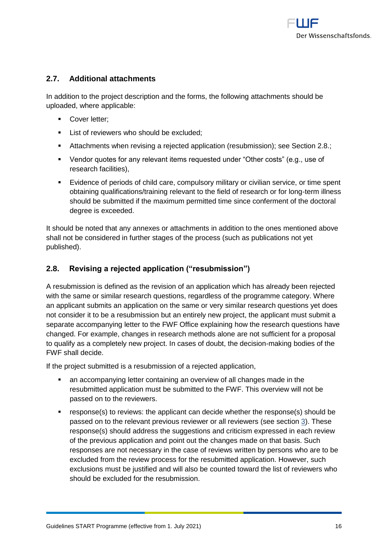

#### <span id="page-15-0"></span>**2.7. Additional attachments**

In addition to the project description and the forms, the following attachments should be uploaded, where applicable:

- **■** Cover letter:
- **EXECUTE:** List of reviewers who should be excluded:
- Attachments when revising a rejected application (resubmission); see Section 2.8.;
- Vendor quotes for any relevant items requested under "Other costs" (e.g., use of research facilities),
- Evidence of periods of child care, compulsory military or civilian service, or time spent obtaining qualifications/training relevant to the field of research or for long-term illness should be submitted if the maximum permitted time since conferment of the doctoral degree is exceeded.

It should be noted that any annexes or attachments in addition to the ones mentioned above shall not be considered in further stages of the process (such as publications not yet published).

#### <span id="page-15-1"></span>**2.8. Revising a rejected application ("resubmission")**

A resubmission is defined as the revision of an application which has already been rejected with the same or similar research questions, regardless of the programme category. Where an applicant submits an application on the same or very similar research questions yet does not consider it to be a resubmission but an entirely new project, the applicant must submit a separate accompanying letter to the FWF Office explaining how the research questions have changed. For example, changes in research methods alone are not sufficient for a proposal to qualify as a completely new project. In cases of doubt, the decision-making bodies of the FWF shall decide.

If the project submitted is a resubmission of a rejected application,

- an accompanying letter containing an overview of all changes made in the resubmitted application must be submitted to the FWF. This overview will not be passed on to the reviewers.
- response(s) to reviews: the applicant can decide whether the response(s) should be passed on to the relevant previous reviewer or all reviewers (see [section](#page-16-0) [3\)](#page-16-0). These response(s) should address the suggestions and criticism expressed in each review of the previous application and point out the changes made on that basis. Such responses are not necessary in the case of reviews written by persons who are to be excluded from the review process for the resubmitted application. However, such exclusions must be justified and will also be counted toward the list of reviewers who should be excluded for the resubmission.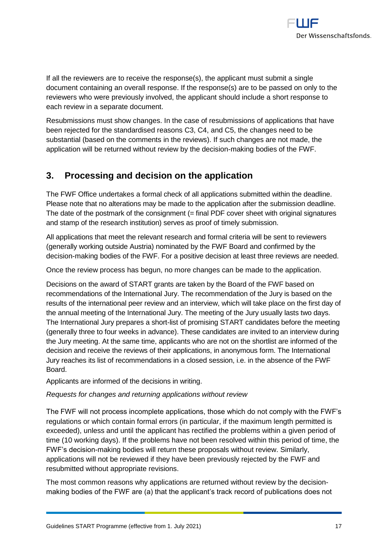

If all the reviewers are to receive the response(s), the applicant must submit a single document containing an overall response. If the response(s) are to be passed on only to the reviewers who were previously involved, the applicant should include a short response to each review in a separate document.

Resubmissions must show changes. In the case of resubmissions of applications that have been rejected for the standardised reasons C3, C4, and C5, the changes need to be substantial (based on the comments in the reviews). If such changes are not made, the application will be returned without review by the decision-making bodies of the FWF.

# <span id="page-16-0"></span>**3. Processing and decision on the application**

The FWF Office undertakes a formal check of all applications submitted within the deadline. Please note that no alterations may be made to the application after the submission deadline. The date of the postmark of the consignment (= final PDF cover sheet with original signatures and stamp of the research institution) serves as proof of timely submission.

All applications that meet the relevant research and formal criteria will be sent to reviewers (generally working outside Austria) nominated by the FWF Board and confirmed by the decision-making bodies of the FWF. For a positive decision at least three reviews are needed.

Once the review process has begun, no more changes can be made to the application.

Decisions on the award of START grants are taken by the Board of the FWF based on recommendations of the International Jury. The recommendation of the Jury is based on the results of the international peer review and an interview, which will take place on the first day of the annual meeting of the International Jury. The meeting of the Jury usually lasts two days. The International Jury prepares a short-list of promising START candidates before the meeting (generally three to four weeks in advance). These candidates are invited to an interview during the Jury meeting. At the same time, applicants who are not on the shortlist are informed of the decision and receive the reviews of their applications, in anonymous form. The International Jury reaches its list of recommendations in a closed session, i.e. in the absence of the FWF Board.

Applicants are informed of the decisions in writing.

*Requests for changes and returning applications without review*

The FWF will not process incomplete applications, those which do not comply with the FWF's regulations or which contain formal errors (in particular, if the maximum length permitted is exceeded), unless and until the applicant has rectified the problems within a given period of time (10 working days). If the problems have not been resolved within this period of time, the FWF's decision-making bodies will return these proposals without review. Similarly, applications will not be reviewed if they have been previously rejected by the FWF and resubmitted without appropriate revisions.

The most common reasons why applications are returned without review by the decisionmaking bodies of the FWF are (a) that the applicant's track record of publications does not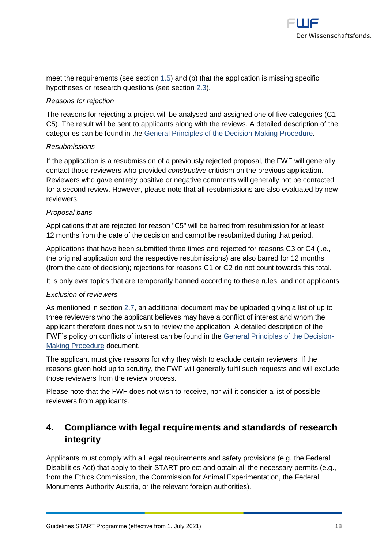

meet the requirements (see section [1.5\)](#page-5-0) and (b) that the application is missing specific hypotheses or research questions (see section [2.3\)](#page-9-0).

#### *Reasons for rejection*

The reasons for rejecting a project will be analysed and assigned one of five categories (C1– C5). The result will be sent to applicants along with the reviews. A detailed description of the categories can be found in the [General Principles of the Decision-Making Procedure.](https://www.fwf.ac.at/en/research-funding/decision-making-procedure-evaluation/decision-making-procedure/)

#### *Resubmissions*

If the application is a resubmission of a previously rejected proposal, the FWF will generally contact those reviewers who provided *constructive* criticism on the previous application. Reviewers who gave entirely positive or negative comments will generally not be contacted for a second review. However, please note that all resubmissions are also evaluated by new reviewers.

#### *Proposal bans*

Applications that are rejected for reason "C5" will be barred from resubmission for at least 12 months from the date of the decision and cannot be resubmitted during that period.

Applications that have been submitted three times and rejected for reasons C3 or C4 (i.e., the original application and the respective resubmissions) are also barred for 12 months (from the date of decision); rejections for reasons C1 or C2 do not count towards this total.

It is only ever topics that are temporarily banned according to these rules, and not applicants.

#### *Exclusion of reviewers*

As mentioned in section [2.7,](#page-15-0) an additional document may be uploaded giving a list of up to three reviewers who the applicant believes may have a conflict of interest and whom the applicant therefore does not wish to review the application. A detailed description of the FWF's policy on conflicts of interest can be found in the [General Principles of the Decision-](https://www.fwf.ac.at/en/research-funding/decision-making-procedure-evaluation/decision-making-procedure/)[Making Procedure](https://www.fwf.ac.at/en/research-funding/decision-making-procedure-evaluation/decision-making-procedure/) document.

The applicant must give reasons for why they wish to exclude certain reviewers. If the reasons given hold up to scrutiny, the FWF will generally fulfil such requests and will exclude those reviewers from the review process.

Please note that the FWF does not wish to receive, nor will it consider a list of possible reviewers from applicants.

# <span id="page-17-0"></span>**4. Compliance with legal requirements and standards of research integrity**

Applicants must comply with all legal requirements and safety provisions (e.g. the Federal Disabilities Act) that apply to their START project and obtain all the necessary permits (e.g., from the Ethics Commission, the Commission for Animal Experimentation, the Federal Monuments Authority Austria, or the relevant foreign authorities).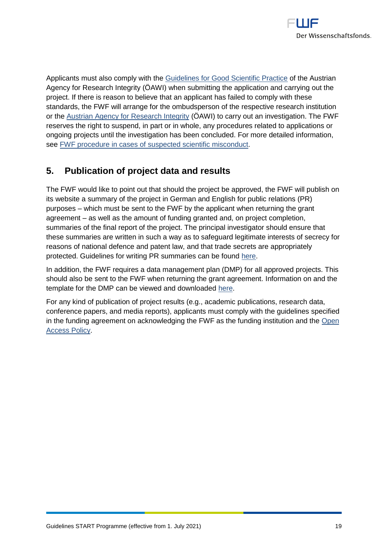

Applicants must also comply with the [Guidelines for Good Scientific Practice](https://oeawi.at/en/guidelines/) of the Austrian Agency for Research Integrity (ÖAWI) when submitting the application and carrying out the project. If there is reason to believe that an applicant has failed to comply with these standards, the FWF will arrange for the ombudsperson of the respective research institution or the [Austrian Agency for Research Integrity](https://oeawi.at/en/) (ÖAWI) to carry out an investigation. The FWF reserves the right to suspend, in part or in whole, any procedures related to applications or ongoing projects until the investigation has been concluded. For more detailed information, see [FWF procedure in cases of suspected scientific misconduct.](https://www.fwf.ac.at/fileadmin/files/Dokumente/Research_Integrity_Ethics/FWF_Verfahren_Research_Misconduct-en.pdf)

# <span id="page-18-0"></span>**5. Publication of project data and results**

The FWF would like to point out that should the project be approved, the FWF will publish on its website a summary of the project in German and English for public relations (PR) purposes – which must be sent to the FWF by the applicant when returning the grant agreement – as well as the amount of funding granted and, on project completion, summaries of the final report of the project. The principal investigator should ensure that these summaries are written in such a way as to safeguard legitimate interests of secrecy for reasons of national defence and patent law, and that trade secrets are appropriately protected. Guidelines for writing PR summaries can be found [here.](https://www.fwf.ac.at/fileadmin/files/Dokumente/Antragstellung/vorgaben_pr-kurzfassungen.pdf)

In addition, the FWF requires a data management plan (DMP) for all approved projects. This should also be sent to the FWF when returning the grant agreement. Information on and the template for the DMP can be viewed and downloaded [here.](https://www.fwf.ac.at/en/research-funding/open-access-policy/research-data-management/)

For any kind of publication of project results (e.g., academic publications, research data, conference papers, and media reports), applicants must comply with the guidelines specified in the funding agreement on acknowledging the FWF as the funding institution and the [Open](https://www.fwf.ac.at/en/research-funding/open-access-policy/)  [Access Policy.](https://www.fwf.ac.at/en/research-funding/open-access-policy/)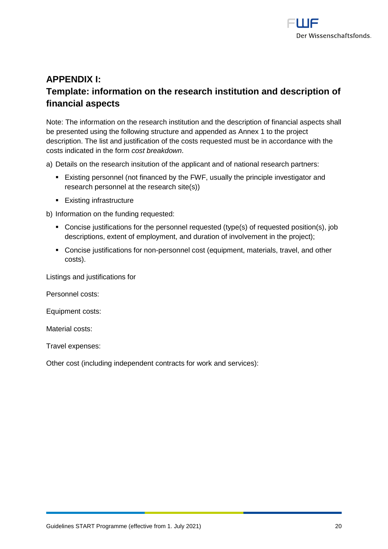

# <span id="page-19-0"></span>**APPENDIX I: Template: information on the research institution and description of financial aspects**

Note: The information on the research institution and the description of financial aspects shall be presented using the following structure and appended as Annex 1 to the project description. The list and justification of the costs requested must be in accordance with the costs indicated in the form *cost breakdown*.

a) Details on the research insitution of the applicant and of national research partners:

- Existing personnel (not financed by the FWF, usually the principle investigator and research personnel at the research site(s))
- Existing infrastructure

b) Information on the funding requested:

- Concise justifications for the personnel requested (type(s) of requested position(s), job descriptions, extent of employment, and duration of involvement in the project);
- Concise justifications for non-personnel cost (equipment, materials, travel, and other costs).

Listings and justifications for

Personnel costs:

Equipment costs:

Material costs:

Travel expenses:

Other cost (including independent contracts for work and services):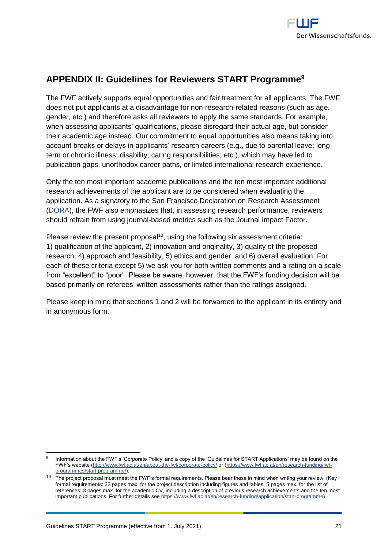

# <span id="page-20-0"></span>**APPENDIX II: Guidelines for Reviewers START Programme<sup>9</sup>**

The FWF actively supports equal opportunities and fair treatment for all applicants. The FWF does not put applicants at a disadvantage for non-research-related reasons (such as age, gender, etc.) and therefore asks all reviewers to apply the same standards. For example, when assessing applicants' qualifications, please disregard their actual age, but consider their academic age instead. Our commitment to equal opportunities also means taking into account breaks or delays in applicants' research careers (e.g., due to parental leave; longterm or chronic illness; disability; caring responsibilities; etc.), which may have led to publication gaps, unorthodox career paths, or limited international research experience.

Only the ten most important academic publications and the ten most important additional research achievements of the applicant are to be considered when evaluating the application. As a signatory to the San Francisco Declaration on Research Assessment [\(DORA\)](https://sfdora.org/read/), the FWF also emphasizes that, in assessing research performance, reviewers should refrain from using journal-based metrics such as the Journal Impact Factor.

Please review the present proposal<sup>10</sup>, using the following six assessment criteria: 1) qualification of the applcant, 2) innovation and originality, 3) quality of the proposed research, 4) approach and feasibility, 5) ethics and gender, and 6) overall evaluation. For each of these criteria except 5) we ask you for both written comments and a rating on a scale from "excellent" to "poor". Please be aware, however, that the FWF's funding decision will be based primarily on referees' written assessments rather than the ratings assigned.

Please keep in mind that sections 1 and 2 will be forwarded to the applicant in its entirety and in anonymous form.

 9 Information about the FWF's 'Corporate Policy' and a copy of the 'Guidelines for START Applications' may be found on the FWF's website [\(http://www.fwf.ac.at/en/about-the-fwf/corporate-policy/](http://www.fwf.ac.at/en/about-the-fwf/corporate-policy/) or [\(https://www.fwf.ac.at/en/research-funding/fwf](https://www.fwf.ac.at/en/research-funding/fwf-programmes/start-programme/)[programmes/start-programme/\)](https://www.fwf.ac.at/en/research-funding/fwf-programmes/start-programme/).

<sup>10</sup> The project proposal must meet the FWF's formal requirements. Please bear these in mind when writing your review. (Key formal requirements: 22 pages max. for the project description including figures and tables; 5 pages max. for the list of references; 3 pages max. for the academic CV, including a description of previous research achievements and the ten most important publications. For further details se[e https://www.fwf.ac.at/en/research-funding/application/start-programme\)](https://www.fwf.ac.at/en/research-funding/application/start-programme)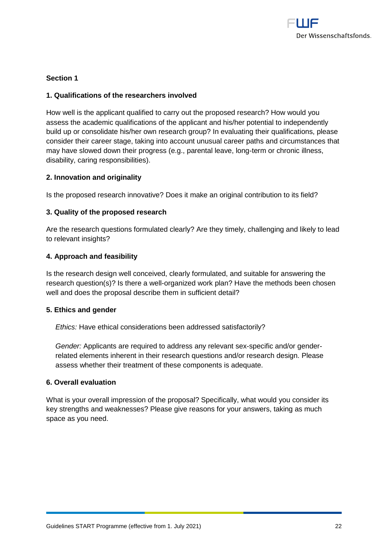

#### **Section 1**

#### **1. Qualifications of the researchers involved**

How well is the applicant qualified to carry out the proposed research? How would you assess the academic qualifications of the applicant and his/her potential to independently build up or consolidate his/her own research group? In evaluating their qualifications, please consider their career stage, taking into account unusual career paths and circumstances that may have slowed down their progress (e.g., parental leave, long-term or chronic illness, disability, caring responsibilities).

#### **2. Innovation and originality**

Is the proposed research innovative? Does it make an original contribution to its field?

#### **3. Quality of the proposed research**

Are the research questions formulated clearly? Are they timely, challenging and likely to lead to relevant insights?

#### **4. Approach and feasibility**

Is the research design well conceived, clearly formulated, and suitable for answering the research question(s)? Is there a well-organized work plan? Have the methods been chosen well and does the proposal describe them in sufficient detail?

#### **5. Ethics and gender**

*Ethics:* Have ethical considerations been addressed satisfactorily?

*Gender:* Applicants are required to address any relevant sex-specific and/or genderrelated elements inherent in their research questions and/or research design. Please assess whether their treatment of these components is adequate.

#### **6. Overall evaluation**

What is your overall impression of the proposal? Specifically, what would you consider its key strengths and weaknesses? Please give reasons for your answers, taking as much space as you need.